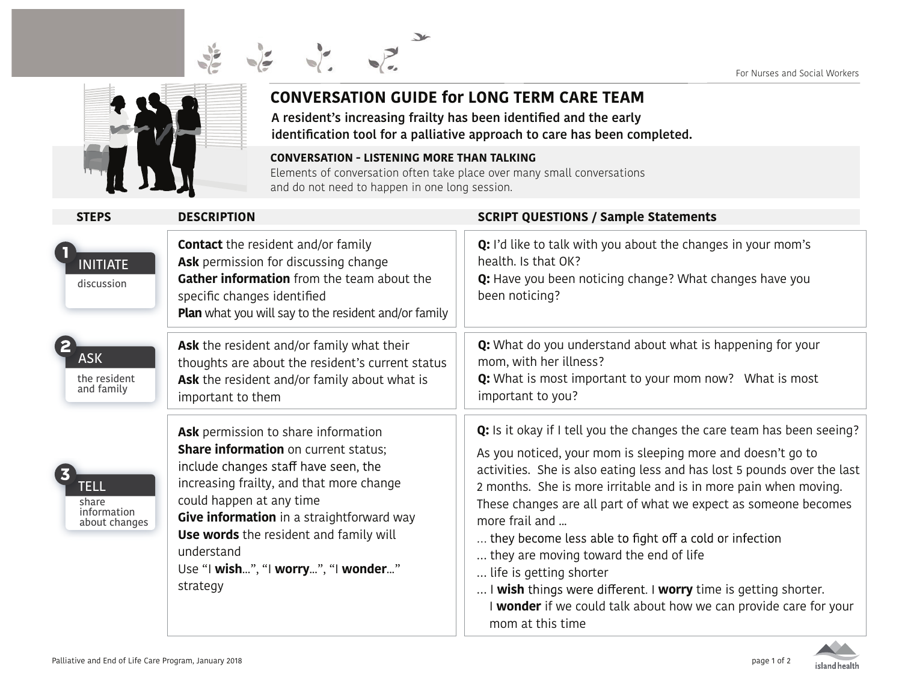



## **CONVERSATION GUIDE for LONG TERM CARE TEAM**

**A resident's increasing frailty has been identified and the early identification tool for a palliative approach to care has been completed.**

**CONVERSATION - LISTENING MORE THAN TALKING** Elements of conversation often take place over many small conversations and do not need to happen in one long session.

| <b>STEPS</b>                                         | <b>DESCRIPTION</b>                                                                                                                                                                                                                                                                                                                                                | <b>SCRIPT QUESTIONS / Sample Statements</b>                                                                                                                                                                                                                                                                                                                                                                                                                                                                                                                                                                                                                        |
|------------------------------------------------------|-------------------------------------------------------------------------------------------------------------------------------------------------------------------------------------------------------------------------------------------------------------------------------------------------------------------------------------------------------------------|--------------------------------------------------------------------------------------------------------------------------------------------------------------------------------------------------------------------------------------------------------------------------------------------------------------------------------------------------------------------------------------------------------------------------------------------------------------------------------------------------------------------------------------------------------------------------------------------------------------------------------------------------------------------|
| <b>INITIATE</b><br>discussion                        | <b>Contact</b> the resident and/or family<br>Ask permission for discussing change<br>Gather information from the team about the<br>specific changes identified<br><b>Plan</b> what you will say to the resident and/or family                                                                                                                                     | Q: I'd like to talk with you about the changes in your mom's<br>health. Is that OK?<br>Q: Have you been noticing change? What changes have you<br>been noticing?                                                                                                                                                                                                                                                                                                                                                                                                                                                                                                   |
| <b>ASK</b><br>the resident<br>and family             | Ask the resident and/or family what their<br>thoughts are about the resident's current status<br>Ask the resident and/or family about what is<br>important to them                                                                                                                                                                                                | Q: What do you understand about what is happening for your<br>mom, with her illness?<br>Q: What is most important to your mom now? What is most<br>important to you?                                                                                                                                                                                                                                                                                                                                                                                                                                                                                               |
| <b>TELL</b><br>share<br>information<br>about changes | Ask permission to share information<br><b>Share information</b> on current status;<br>include changes staff have seen, the<br>increasing frailty, and that more change<br>could happen at any time<br>Give information in a straightforward way<br><b>Use words</b> the resident and family will<br>understand<br>Use "I wish", "I worry", "I wonder"<br>strategy | Q: Is it okay if I tell you the changes the care team has been seeing?<br>As you noticed, your mom is sleeping more and doesn't go to<br>activities. She is also eating less and has lost 5 pounds over the last<br>2 months. She is more irritable and is in more pain when moving.<br>These changes are all part of what we expect as someone becomes<br>more frail and<br>they become less able to fight off a cold or infection<br>they are moving toward the end of life<br>life is getting shorter<br>I wish things were different. I worry time is getting shorter.<br>I wonder if we could talk about how we can provide care for your<br>mom at this time |